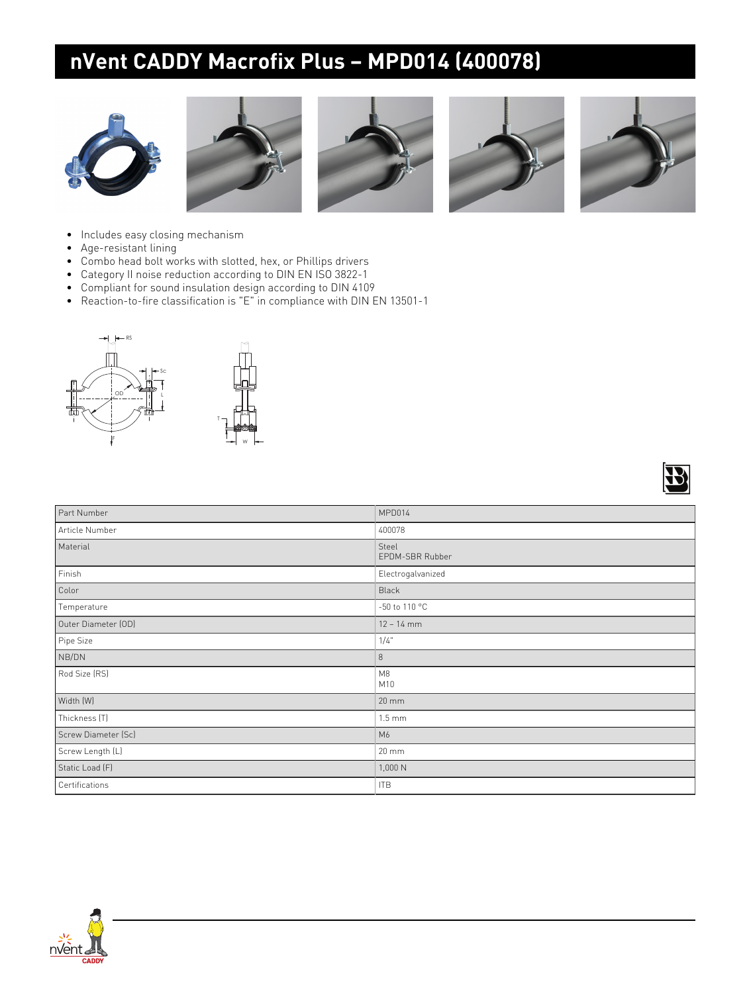## **nVent CADDY Macrofix Plus – MPD014 (400078)**











 $\sqrt{2}$ 

- Includes easy closing mechanism
- Age-resistant lining
- Combo head bolt works with slotted, hex, or Phillips drivers
- Category II noise reduction according to DIN EN ISO 3822-1
- Compliant for sound insulation design according to DIN 4109
- Reaction-to-fire classification is "E" in compliance with DIN EN 13501-1



|                     | i v                      |
|---------------------|--------------------------|
| Part Number         | MPD014                   |
| Article Number      | 400078                   |
| Material            | Steel<br>EPDM-SBR Rubber |
| Finish              | Electrogalvanized        |
| Color               | Black                    |
| Temperature         | -50 to 110 °C            |
| Outer Diameter (OD) | $12 - 14$ mm             |
| Pipe Size           | 1/4"                     |
| NB/DN               | $\,8\,$                  |
| Rod Size (RS)       | M8<br>M10                |
| Width (W)           | $20 \, \text{mm}$        |
| Thickness (T)       | $1.5 \text{ mm}$         |
| Screw Diameter (Sc) | M6                       |
| Screw Length (L)    | $20 \text{ mm}$          |
| Static Load (F)     | 1,000 N                  |
| Certifications      | <b>ITB</b>               |